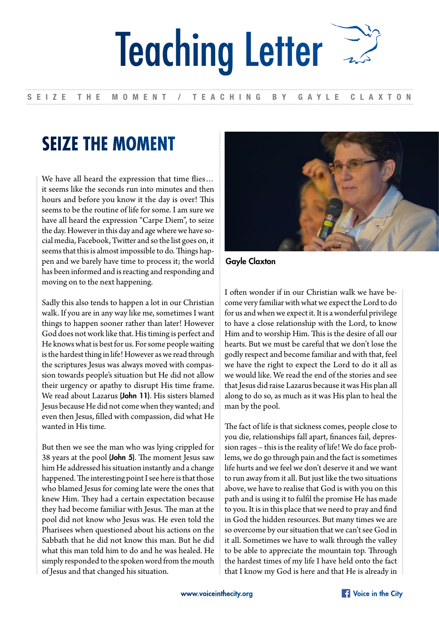## Teaching Letter

## SEIZE THE MOMENT / TEACHING BY GAYLE CLAXTON

## **SEIZE THE MOMENT**

We have all heard the expression that time flies… it seems like the seconds run into minutes and then hours and before you know it the day is over! This seems to be the routine of life for some. I am sure we have all heard the expression "Carpe Diem", to seize the day. However in this day and age where we have social media, Facebook, Twitter and so the list goes on, it seems that this is almost impossible to do. Things happen and we barely have time to process it; the world has been informed and is reacting and responding and moving on to the next happening.

Sadly this also tends to happen a lot in our Christian walk. If you are in any way like me, sometimes I want things to happen sooner rather than later! However God does not work like that. His timing is perfect and He knows what is best for us. For some people waiting is the hardest thing in life! However as we read through the scriptures Jesus was always moved with compassion towards people's situation but He did not allow their urgency or apathy to disrupt His time frame. We read about Lazarus (John 11). His sisters blamed Jesus because He did not come when they wanted; and even then Jesus, filled with compassion, did what He wanted in His time.

But then we see the man who was lying crippled for 38 years at the pool (John 5). The moment Jesus saw him He addressed his situation instantly and a change happened. The interesting point I see here is that those who blamed Jesus for coming late were the ones that knew Him. They had a certain expectation because they had become familiar with Jesus. The man at the pool did not know who Jesus was. He even told the Pharisees when questioned about his actions on the Sabbath that he did not know this man. But he did what this man told him to do and he was healed. He simply responded to the spoken word from the mouth of Jesus and that changed his situation.



Gayle Claxton

I often wonder if in our Christian walk we have become very familiar with what we expect the Lord to do for us and when we expect it. It is a wonderful privilege to have a close relationship with the Lord, to know Him and to worship Him. This is the desire of all our hearts. But we must be careful that we don't lose the godly respect and become familiar and with that, feel we have the right to expect the Lord to do it all as we would like. We read the end of the stories and see that Jesus did raise Lazarus because it was His plan all along to do so, as much as it was His plan to heal the man by the pool.

The fact of life is that sickness comes, people close to you die, relationships fall apart, finances fail, depression rages – this is the reality of life! We do face problems, we do go through pain and the fact is sometimes life hurts and we feel we don't deserve it and we want to run away from it all. But just like the two situations above, we have to realise that God is with you on this path and is using it to fulfil the promise He has made to you. It is in this place that we need to pray and find in God the hidden resources. But many times we are so overcome by our situation that we can't see God in it all. Sometimes we have to walk through the valley to be able to appreciate the mountain top. Through the hardest times of my life I have held onto the fact that I know my God is here and that He is already in